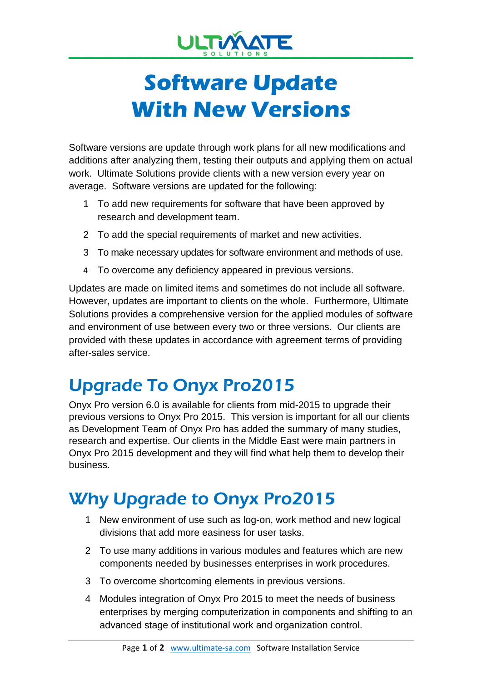

# **Software Update With New Versions**

Software versions are update through work plans for all new modifications and additions after analyzing them, testing their outputs and applying them on actual work. Ultimate Solutions provide clients with a new version every year on average. Software versions are updated for the following:

- 1 To add new requirements for software that have been approved by research and development team.
- 2 To add the special requirements of market and new activities.
- 3 To make necessary updates for software environment and methods of use.
- 4 To overcome any deficiency appeared in previous versions.

Updates are made on limited items and sometimes do not include all software. However, updates are important to clients on the whole. Furthermore, Ultimate Solutions provides a comprehensive version for the applied modules of software and environment of use between every two or three versions. Our clients are provided with these updates in accordance with agreement terms of providing after-sales service.

## Upgrade To Onyx Pro2015

Onyx Pro version 6.0 is available for clients from mid-2015 to upgrade their previous versions to Onyx Pro 2015. This version is important for all our clients as Development Team of Onyx Pro has added the summary of many studies, research and expertise. Our clients in the Middle East were main partners in Onyx Pro 2015 development and they will find what help them to develop their business.

## Why Upgrade to Onyx Pro2015

- 1 New environment of use such as log-on, work method and new logical divisions that add more easiness for user tasks.
- 2 To use many additions in various modules and features which are new components needed by businesses enterprises in work procedures.
- 3 To overcome shortcoming elements in previous versions.
- 4 Modules integration of Onyx Pro 2015 to meet the needs of business enterprises by merging computerization in components and shifting to an advanced stage of institutional work and organization control.